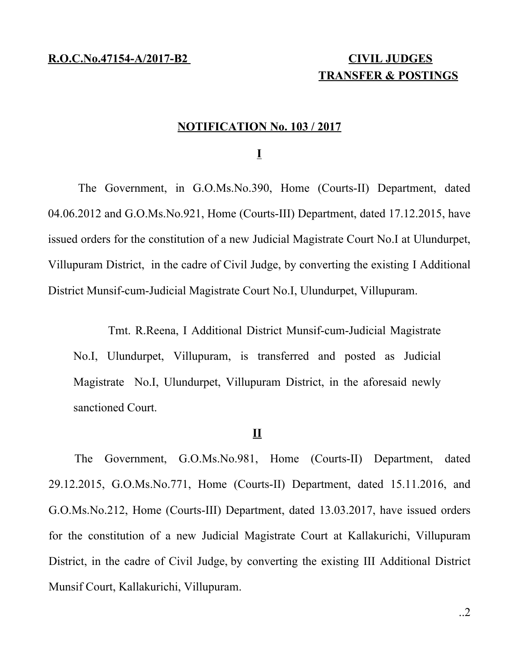# **TRANSFER & POSTINGS**

## **NOTIFICATION No. 103 / 2017**

**I**

The Government, in G.O.Ms.No.390, Home (Courts-II) Department, dated 04.06.2012 and G.O.Ms.No.921, Home (Courts-III) Department, dated 17.12.2015, have issued orders for the constitution of a new Judicial Magistrate Court No.I at Ulundurpet, Villupuram District, in the cadre of Civil Judge, by converting the existing I Additional District Munsif-cum-Judicial Magistrate Court No.I, Ulundurpet, Villupuram.

Tmt. R.Reena, I Additional District Munsif-cum-Judicial Magistrate No.I, Ulundurpet, Villupuram, is transferred and posted as Judicial Magistrate No.I, Ulundurpet, Villupuram District, in the aforesaid newly sanctioned Court.

# **II**

The Government, G.O.Ms.No.981, Home (Courts-II) Department, dated 29.12.2015, G.O.Ms.No.771, Home (Courts-II) Department, dated 15.11.2016, and G.O.Ms.No.212, Home (Courts-III) Department, dated 13.03.2017, have issued orders for the constitution of a new Judicial Magistrate Court at Kallakurichi, Villupuram District, in the cadre of Civil Judge, by converting the existing III Additional District Munsif Court, Kallakurichi, Villupuram.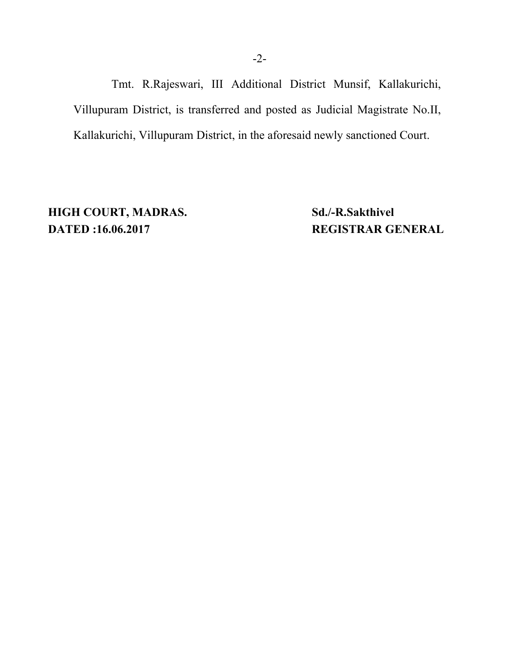Tmt. R.Rajeswari, III Additional District Munsif, Kallakurichi, Villupuram District, is transferred and posted as Judicial Magistrate No.II, Kallakurichi, Villupuram District, in the aforesaid newly sanctioned Court.

**HIGH COURT, MADRAS.** Sd./-R.Sakthivel **DATED :16.06.2017 REGISTRAR GENERAL**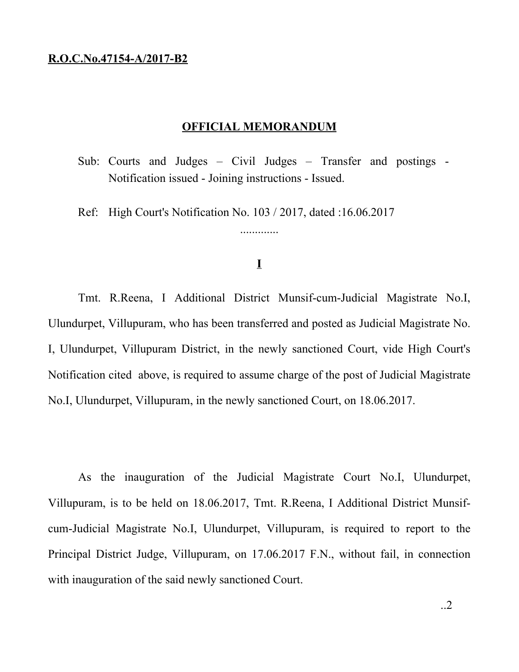#### **R.O.C.No.47154-A/2017-B2**

## **OFFICIAL MEMORANDUM**

Sub: Courts and Judges – Civil Judges – Transfer and postings - Notification issued - Joining instructions - Issued.

Ref: High Court's Notification No. 103 / 2017, dated :16.06.2017

# **I**

.............

Tmt. R.Reena, I Additional District Munsif-cum-Judicial Magistrate No.I, Ulundurpet, Villupuram, who has been transferred and posted as Judicial Magistrate No. I, Ulundurpet, Villupuram District, in the newly sanctioned Court, vide High Court's Notification cited above, is required to assume charge of the post of Judicial Magistrate No.I, Ulundurpet, Villupuram, in the newly sanctioned Court, on 18.06.2017.

As the inauguration of the Judicial Magistrate Court No.I, Ulundurpet, Villupuram, is to be held on 18.06.2017, Tmt. R.Reena, I Additional District Munsifcum-Judicial Magistrate No.I, Ulundurpet, Villupuram, is required to report to the Principal District Judge, Villupuram, on 17.06.2017 F.N., without fail, in connection with inauguration of the said newly sanctioned Court.